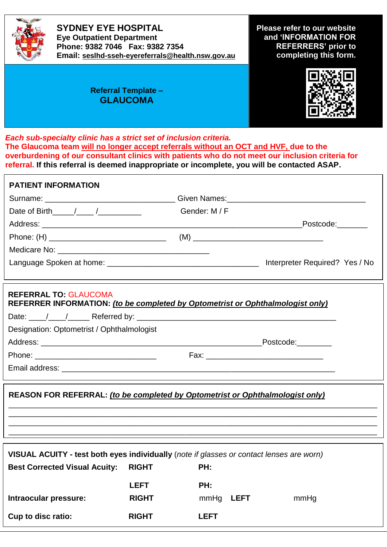

**SYDNEY EYE HOSPITAL Eye Outpatient Department Phone: 9382 7046 Fax: 9382 7354 Email: [seslhd-sseh-eyereferrals@health.nsw.gov.au](mailto:seslhd-sseh-eyereferrals@health.nsw.gov.au)** **Please refer to our website and 'INFORMATION FOR REFERRERS' prior to completing this form.**

## **Referral Template – GLAUCOMA**



*Each sub-specialty clinic has a strict set of inclusion criteria.*  **The Glaucoma team will no longer accept referrals without an OCT and HVF, due to the overburdening of our consultant clinics with patients who do not meet our inclusion criteria for referral. If this referral is deemed inappropriate or incomplete, you will be contacted ASAP.**

| <b>PATIENT INFORMATION</b>                                                                                                                                                                                                                                                                                                                                                                                                                                                                                                                       |               |
|--------------------------------------------------------------------------------------------------------------------------------------------------------------------------------------------------------------------------------------------------------------------------------------------------------------------------------------------------------------------------------------------------------------------------------------------------------------------------------------------------------------------------------------------------|---------------|
|                                                                                                                                                                                                                                                                                                                                                                                                                                                                                                                                                  |               |
|                                                                                                                                                                                                                                                                                                                                                                                                                                                                                                                                                  | Gender: M / F |
|                                                                                                                                                                                                                                                                                                                                                                                                                                                                                                                                                  |               |
|                                                                                                                                                                                                                                                                                                                                                                                                                                                                                                                                                  |               |
|                                                                                                                                                                                                                                                                                                                                                                                                                                                                                                                                                  |               |
|                                                                                                                                                                                                                                                                                                                                                                                                                                                                                                                                                  |               |
| <b>REFERRAL TO: GLAUCOMA</b>                                                                                                                                                                                                                                                                                                                                                                                                                                                                                                                     |               |
|                                                                                                                                                                                                                                                                                                                                                                                                                                                                                                                                                  |               |
|                                                                                                                                                                                                                                                                                                                                                                                                                                                                                                                                                  |               |
|                                                                                                                                                                                                                                                                                                                                                                                                                                                                                                                                                  |               |
|                                                                                                                                                                                                                                                                                                                                                                                                                                                                                                                                                  |               |
|                                                                                                                                                                                                                                                                                                                                                                                                                                                                                                                                                  |               |
| Date of Birth $/$ / $/$<br>REFERRER INFORMATION: (to be completed by Optometrist or Ophthalmologist only)<br>Designation: Optometrist / Ophthalmologist<br>REASON FOR REFERRAL: (to be completed by Optometrist or Ophthalmologist only)<br>VISUAL ACUITY - test both eyes individually (note if glasses or contact lenses are worn)<br><b>Best Corrected Visual Acuity: RIGHT</b><br>PH:<br><b>LEFT</b><br>PH:<br>Intraocular pressure:<br><b>RIGHT</b><br>mmHg <b>LEFT</b><br>mmHg<br><b>Cup to disc ratio:</b><br><b>RIGHT</b><br><b>LEFT</b> |               |
|                                                                                                                                                                                                                                                                                                                                                                                                                                                                                                                                                  |               |
|                                                                                                                                                                                                                                                                                                                                                                                                                                                                                                                                                  |               |
|                                                                                                                                                                                                                                                                                                                                                                                                                                                                                                                                                  |               |